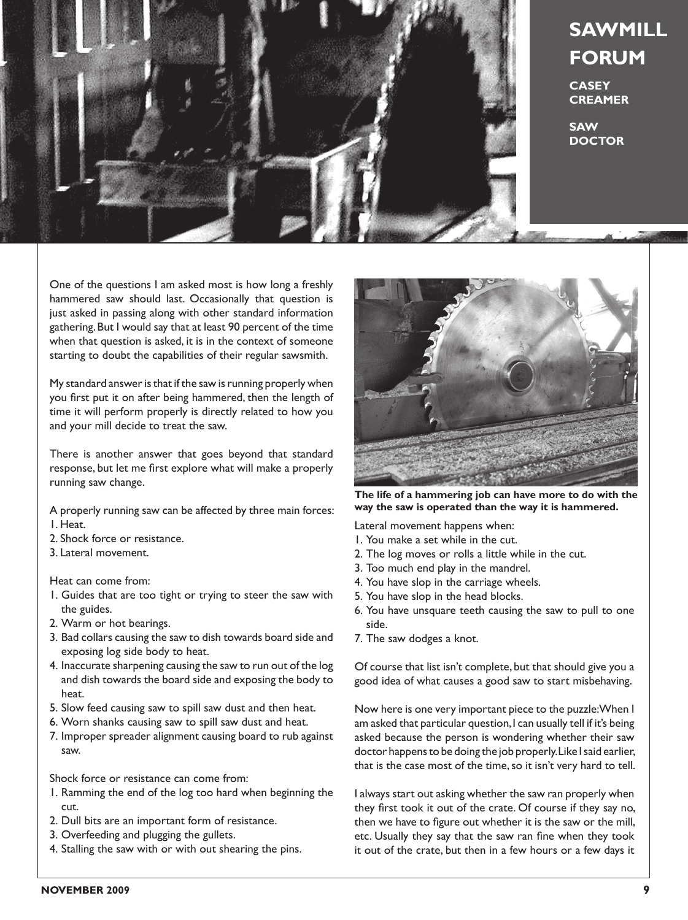

## **SAWMILL FORUM**

**CASEY CREAMER**

**SAW DOCTOR**

One of the questions I am asked most is how long a freshly hammered saw should last. Occasionally that question is just asked in passing along with other standard information gathering. But I would say that at least 90 percent of the time when that question is asked, it is in the context of someone starting to doubt the capabilities of their regular sawsmith.

My standard answer is that if the saw is running properly when you first put it on after being hammered, then the length of time it will perform properly is directly related to how you and your mill decide to treat the saw.

There is another answer that goes beyond that standard response, but let me first explore what will make a properly running saw change.

A properly running saw can be affected by three main forces: 1. Heat.

- 2. Shock force or resistance.
- 3. Lateral movement.

Heat can come from:

- 1. Guides that are too tight or trying to steer the saw with the guides.
- 2. Warm or hot bearings.
- 3. Bad collars causing the saw to dish towards board side and exposing log side body to heat.
- 4. Inaccurate sharpening causing the saw to run out of the log and dish towards the board side and exposing the body to heat.
- 5. Slow feed causing saw to spill saw dust and then heat.
- 6. Worn shanks causing saw to spill saw dust and heat.
- 7. Improper spreader alignment causing board to rub against saw.

Shock force or resistance can come from:

- 1. Ramming the end of the log too hard when beginning the cut.
- 2. Dull bits are an important form of resistance.
- 3. Overfeeding and plugging the gullets.
- 4. Stalling the saw with or with out shearing the pins.



**The life of a hammering job can have more to do with the way the saw is operated than the way it is hammered.**

Lateral movement happens when:

- 1. You make a set while in the cut.
- 2. The log moves or rolls a little while in the cut.
- 3. Too much end play in the mandrel.
- 4. You have slop in the carriage wheels.
- 5. You have slop in the head blocks.
- 6. You have unsquare teeth causing the saw to pull to one side.
- 7. The saw dodges a knot.

Of course that list isn't complete, but that should give you a good idea of what causes a good saw to start misbehaving.

Now here is one very important piece to the puzzle: When I am asked that particular question, I can usually tell if it's being asked because the person is wondering whether their saw doctor happens to be doing the job properly. Like I said earlier, that is the case most of the time, so it isn't very hard to tell.

I always start out asking whether the saw ran properly when they first took it out of the crate. Of course if they say no, then we have to figure out whether it is the saw or the mill, etc. Usually they say that the saw ran fine when they took it out of the crate, but then in a few hours or a few days it